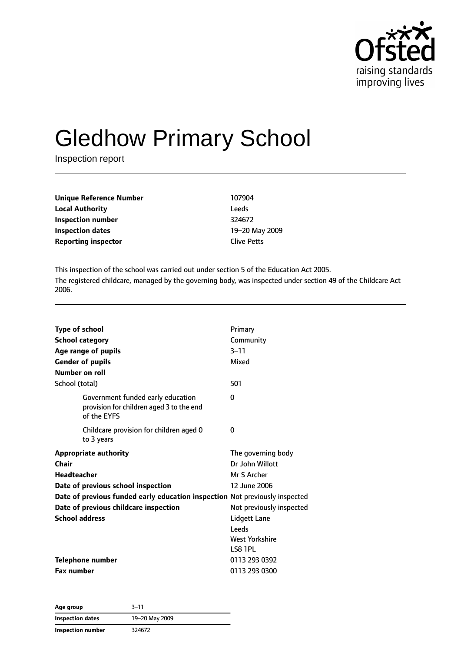

# Gledhow Primary School

Inspection report

| Unique Reference Number                          | 107904         |
|--------------------------------------------------|----------------|
| <b>Local Authority</b>                           | <b>Leeds</b>   |
| Inspection number                                | 324672         |
| <b>Inspection dates</b>                          | 19-20 May 2009 |
| <b>Reporting inspector</b><br><b>Clive Petts</b> |                |

This inspection of the school was carried out under section 5 of the Education Act 2005. The registered childcare, managed by the governing body, was inspected under section 49 of the Childcare Act 2006.

| Type of school<br><b>School category</b><br>Age range of pupils<br><b>Gender of pupils</b><br>Number on roll<br>School (total) | Primary<br>Community<br>$3 - 11$<br>Mixed<br>501 |
|--------------------------------------------------------------------------------------------------------------------------------|--------------------------------------------------|
| Government funded early education                                                                                              | 0                                                |
| provision for children aged 3 to the end<br>of the EYFS                                                                        |                                                  |
| Childcare provision for children aged 0<br>to 3 years                                                                          | 0                                                |
| <b>Appropriate authority</b>                                                                                                   | The governing body                               |
| Chair                                                                                                                          | Dr John Willott                                  |
| <b>Headteacher</b>                                                                                                             | Mr S Archer                                      |
| Date of previous school inspection                                                                                             | 12 June 2006                                     |
| Date of previous funded early education inspection Not previously inspected                                                    |                                                  |
| Date of previous childcare inspection                                                                                          | Not previously inspected                         |
| <b>School address</b>                                                                                                          | Lidgett Lane                                     |
|                                                                                                                                | Leeds                                            |
|                                                                                                                                | <b>West Yorkshire</b>                            |
|                                                                                                                                | LS8 1PL                                          |
| <b>Telephone number</b>                                                                                                        | 0113 293 0392                                    |
| <b>Fax number</b>                                                                                                              | 0113 293 0300                                    |

**Age group** 3–11 **Inspection dates** 19–20 May 2009 **Inspection number** 324672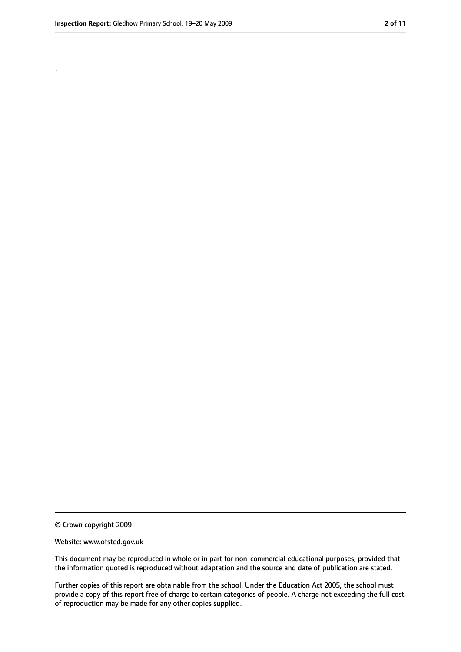.

<sup>©</sup> Crown copyright 2009

Website: www.ofsted.gov.uk

This document may be reproduced in whole or in part for non-commercial educational purposes, provided that the information quoted is reproduced without adaptation and the source and date of publication are stated.

Further copies of this report are obtainable from the school. Under the Education Act 2005, the school must provide a copy of this report free of charge to certain categories of people. A charge not exceeding the full cost of reproduction may be made for any other copies supplied.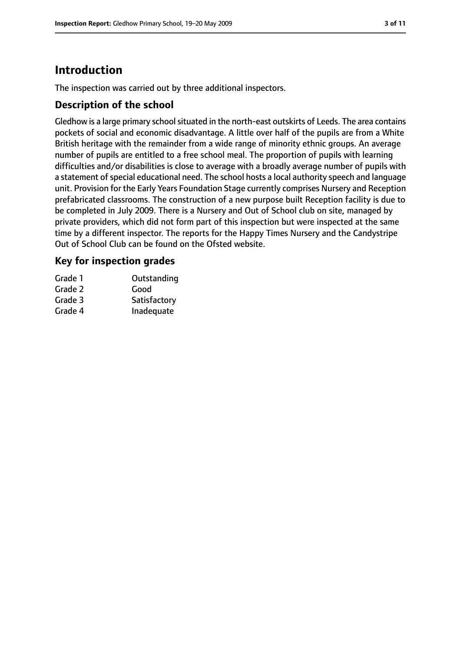# **Introduction**

The inspection was carried out by three additional inspectors.

## **Description of the school**

Gledhow is a large primary school situated in the north-east outskirts of Leeds. The area contains pockets of social and economic disadvantage. A little over half of the pupils are from a White British heritage with the remainder from a wide range of minority ethnic groups. An average number of pupils are entitled to a free school meal. The proportion of pupils with learning difficulties and/or disabilities is close to average with a broadly average number of pupils with a statement of special educational need. The school hosts a local authority speech and language unit. Provision for the Early Years Foundation Stage currently comprises Nursery and Reception prefabricated classrooms. The construction of a new purpose built Reception facility is due to be completed in July 2009. There is a Nursery and Out of School club on site, managed by private providers, which did not form part of this inspection but were inspected at the same time by a different inspector. The reports for the Happy Times Nursery and the Candystripe Out of School Club can be found on the Ofsted website.

## **Key for inspection grades**

| Grade 1 | Outstanding  |
|---------|--------------|
| Grade 2 | Good         |
| Grade 3 | Satisfactory |
| Grade 4 | Inadequate   |
|         |              |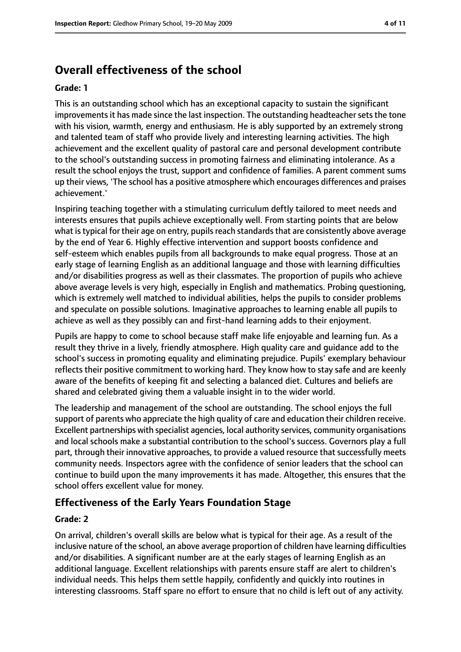# **Overall effectiveness of the school**

#### **Grade: 1**

This is an outstanding school which has an exceptional capacity to sustain the significant improvements it has made since the last inspection. The outstanding headteacher sets the tone with his vision, warmth, energy and enthusiasm. He is ably supported by an extremely strong and talented team of staff who provide lively and interesting learning activities. The high achievement and the excellent quality of pastoral care and personal development contribute to the school's outstanding success in promoting fairness and eliminating intolerance. As a result the school enjoys the trust, support and confidence of families. A parent comment sums up their views, 'The school has a positive atmosphere which encourages differences and praises achievement.'

Inspiring teaching together with a stimulating curriculum deftly tailored to meet needs and interests ensures that pupils achieve exceptionally well. From starting points that are below what is typical for their age on entry, pupils reach standards that are consistently above average by the end of Year 6. Highly effective intervention and support boosts confidence and self-esteem which enables pupils from all backgrounds to make equal progress. Those at an early stage of learning English as an additional language and those with learning difficulties and/or disabilities progress as well as their classmates. The proportion of pupils who achieve above average levels is very high, especially in English and mathematics. Probing questioning, which is extremely well matched to individual abilities, helps the pupils to consider problems and speculate on possible solutions. Imaginative approaches to learning enable all pupils to achieve as well as they possibly can and first-hand learning adds to their enjoyment.

Pupils are happy to come to school because staff make life enjoyable and learning fun. As a result they thrive in a lively, friendly atmosphere. High quality care and guidance add to the school's success in promoting equality and eliminating prejudice. Pupils' exemplary behaviour reflects their positive commitment to working hard. They know how to stay safe and are keenly aware of the benefits of keeping fit and selecting a balanced diet. Cultures and beliefs are shared and celebrated giving them a valuable insight in to the wider world.

The leadership and management of the school are outstanding. The school enjoys the full support of parents who appreciate the high quality of care and education their children receive. Excellent partnerships with specialist agencies, local authority services, community organisations and local schools make a substantial contribution to the school's success. Governors play a full part, through their innovative approaches, to provide a valued resource that successfully meets community needs. Inspectors agree with the confidence of senior leaders that the school can continue to build upon the many improvements it has made. Altogether, this ensures that the school offers excellent value for money.

## **Effectiveness of the Early Years Foundation Stage**

#### **Grade: 2**

On arrival, children's overall skills are below what is typical for their age. As a result of the inclusive nature of the school, an above average proportion of children have learning difficulties and/or disabilities. A significant number are at the early stages of learning English as an additional language. Excellent relationships with parents ensure staff are alert to children's individual needs. This helps them settle happily, confidently and quickly into routines in interesting classrooms. Staff spare no effort to ensure that no child is left out of any activity.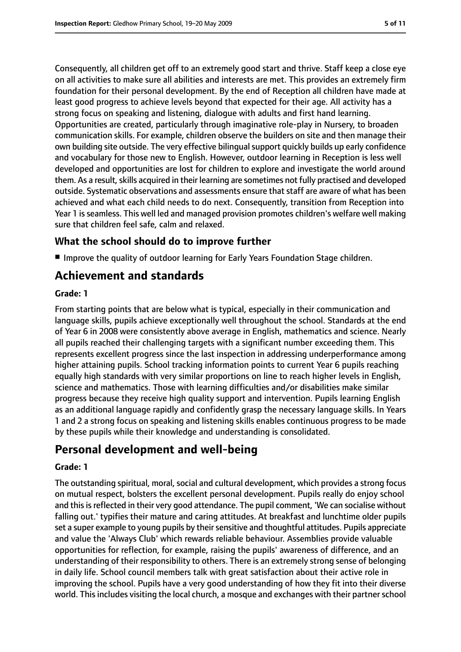strong focus on speaking and listening, dialogue with adults and first hand learning. Opportunities are created, particularly through imaginative role-play in Nursery, to broaden communication skills. For example, children observe the builders on site and then manage their own building site outside. The very effective bilingual support quickly builds up early confidence and vocabulary for those new to English. However, outdoor learning in Reception is less well developed and opportunities are lost for children to explore and investigate the world around them. As a result, skills acquired in their learning are sometimes not fully practised and developed outside. Systematic observations and assessments ensure that staff are aware of what has been achieved and what each child needs to do next. Consequently, transition from Reception into Year 1 is seamless. This well led and managed provision promotes children's welfare well making sure that children feel safe, calm and relaxed.

# **What the school should do to improve further**

■ Improve the quality of outdoor learning for Early Years Foundation Stage children.

# **Achievement and standards**

# **Grade: 1**

From starting points that are below what is typical, especially in their communication and language skills, pupils achieve exceptionally well throughout the school. Standards at the end of Year 6 in 2008 were consistently above average in English, mathematics and science. Nearly all pupils reached their challenging targets with a significant number exceeding them. This represents excellent progress since the last inspection in addressing underperformance among higher attaining pupils. School tracking information points to current Year 6 pupils reaching equally high standards with very similar proportions on line to reach higher levels in English, science and mathematics. Those with learning difficulties and/or disabilities make similar progress because they receive high quality support and intervention. Pupils learning English as an additional language rapidly and confidently grasp the necessary language skills. In Years 1 and 2 a strong focus on speaking and listening skills enables continuous progress to be made by these pupils while their knowledge and understanding is consolidated.

# **Personal development and well-being**

## **Grade: 1**

The outstanding spiritual, moral, social and cultural development, which provides a strong focus on mutual respect, bolsters the excellent personal development. Pupils really do enjoy school and this is reflected in their very good attendance. The pupil comment, 'We can socialise without falling out.' typifies their mature and caring attitudes. At breakfast and lunchtime older pupils set a super example to young pupils by their sensitive and thoughtful attitudes. Pupils appreciate and value the 'Always Club' which rewards reliable behaviour. Assemblies provide valuable opportunities for reflection, for example, raising the pupils' awareness of difference, and an understanding of their responsibility to others. There is an extremely strong sense of belonging in daily life. School council members talk with great satisfaction about their active role in improving the school. Pupils have a very good understanding of how they fit into their diverse world. This includes visiting the local church, a mosque and exchanges with their partner school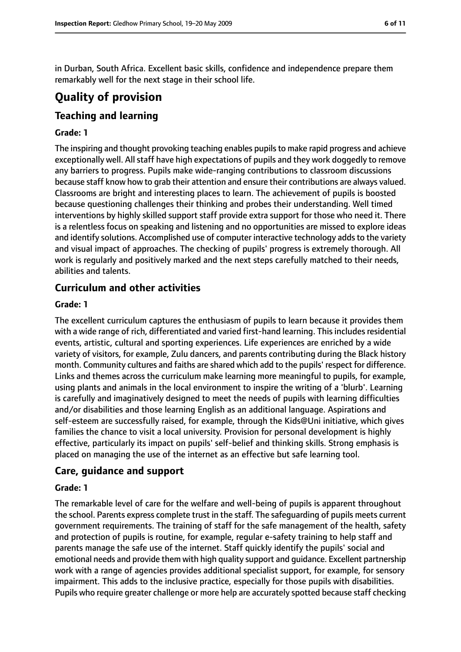in Durban, South Africa. Excellent basic skills, confidence and independence prepare them remarkably well for the next stage in their school life.

# **Quality of provision**

# **Teaching and learning**

#### **Grade: 1**

The inspiring and thought provoking teaching enables pupilsto make rapid progress and achieve exceptionally well. All staff have high expectations of pupils and they work doggedly to remove any barriers to progress. Pupils make wide-ranging contributions to classroom discussions because staff know how to grab their attention and ensure their contributions are always valued. Classrooms are bright and interesting places to learn. The achievement of pupils is boosted because questioning challenges their thinking and probes their understanding. Well timed interventions by highly skilled support staff provide extra support for those who need it. There is a relentless focus on speaking and listening and no opportunities are missed to explore ideas and identify solutions. Accomplished use of computer interactive technology adds to the variety and visual impact of approaches. The checking of pupils' progress is extremely thorough. All work is regularly and positively marked and the next steps carefully matched to their needs, abilities and talents.

# **Curriculum and other activities**

#### **Grade: 1**

The excellent curriculum captures the enthusiasm of pupils to learn because it provides them with a wide range of rich, differentiated and varied first-hand learning. This includes residential events, artistic, cultural and sporting experiences. Life experiences are enriched by a wide variety of visitors, for example, Zulu dancers, and parents contributing during the Black history month. Community cultures and faiths are shared which add to the pupils' respect for difference. Links and themes across the curriculum make learning more meaningful to pupils, for example, using plants and animals in the local environment to inspire the writing of a 'blurb'. Learning is carefully and imaginatively designed to meet the needs of pupils with learning difficulties and/or disabilities and those learning English as an additional language. Aspirations and self-esteem are successfully raised, for example, through the Kids@Uni initiative, which gives families the chance to visit a local university. Provision for personal development is highly effective, particularly its impact on pupils' self-belief and thinking skills. Strong emphasis is placed on managing the use of the internet as an effective but safe learning tool.

## **Care, guidance and support**

#### **Grade: 1**

The remarkable level of care for the welfare and well-being of pupils is apparent throughout the school. Parents express complete trust in the staff. The safeguarding of pupils meets current government requirements. The training of staff for the safe management of the health, safety and protection of pupils is routine, for example, regular e-safety training to help staff and parents manage the safe use of the internet. Staff quickly identify the pupils' social and emotional needs and provide them with high quality support and guidance. Excellent partnership work with a range of agencies provides additional specialist support, for example, for sensory impairment. This adds to the inclusive practice, especially for those pupils with disabilities. Pupils who require greater challenge or more help are accurately spotted because staff checking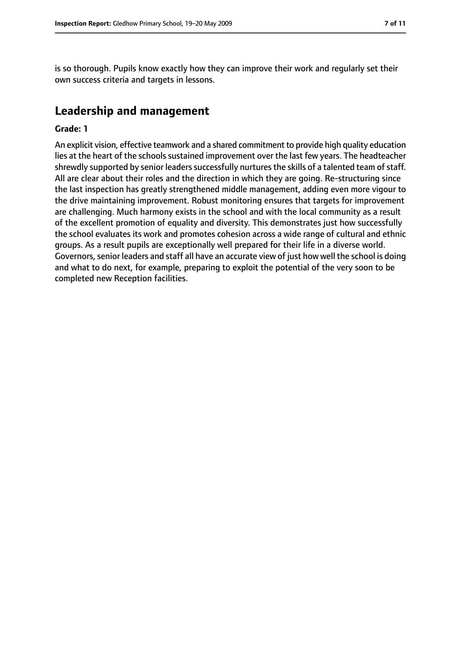is so thorough. Pupils know exactly how they can improve their work and regularly set their own success criteria and targets in lessons.

# **Leadership and management**

#### **Grade: 1**

An explicit vision, effective teamwork and a shared commitment to provide high quality education lies at the heart of the schools sustained improvement over the last few years. The headteacher shrewdly supported by senior leaders successfully nurtures the skills of a talented team of staff. All are clear about their roles and the direction in which they are going. Re-structuring since the last inspection has greatly strengthened middle management, adding even more vigour to the drive maintaining improvement. Robust monitoring ensures that targets for improvement are challenging. Much harmony exists in the school and with the local community as a result of the excellent promotion of equality and diversity. This demonstrates just how successfully the school evaluates its work and promotes cohesion across a wide range of cultural and ethnic groups. As a result pupils are exceptionally well prepared for their life in a diverse world. Governors, senior leaders and staff all have an accurate view of just how well the school is doing and what to do next, for example, preparing to exploit the potential of the very soon to be completed new Reception facilities.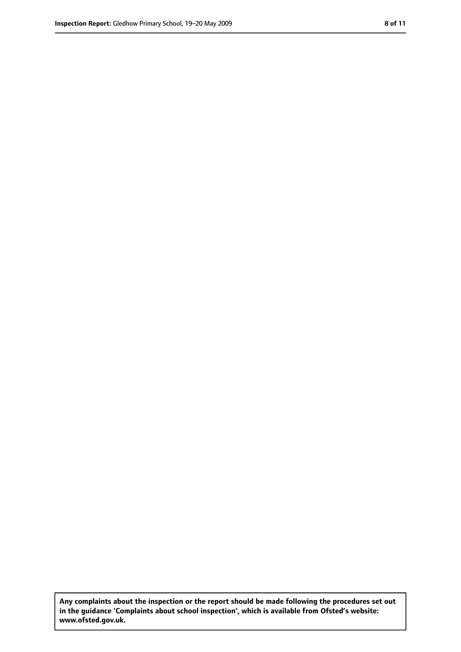**Any complaints about the inspection or the report should be made following the procedures set out in the guidance 'Complaints about school inspection', which is available from Ofsted's website: www.ofsted.gov.uk.**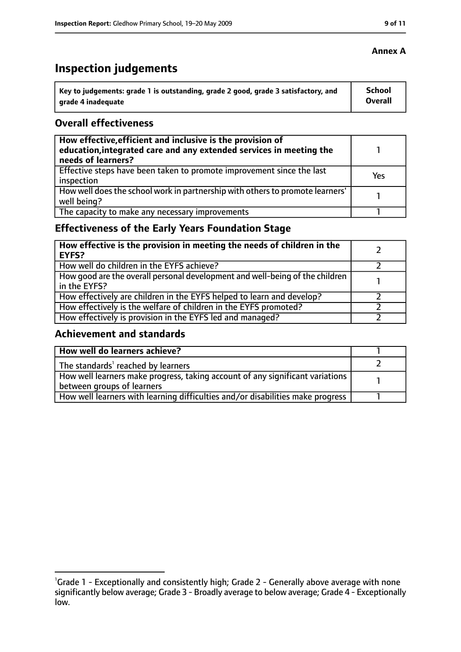# **Inspection judgements**

| \ Key to judgements: grade 1 is outstanding, grade 2 good, grade 3 satisfactory, and | <b>School</b>  |
|--------------------------------------------------------------------------------------|----------------|
| arade 4 inadequate                                                                   | <b>Overall</b> |

#### **Overall effectiveness**

| How effective, efficient and inclusive is the provision of<br>education, integrated care and any extended services in meeting the<br>needs of learners? |     |
|---------------------------------------------------------------------------------------------------------------------------------------------------------|-----|
| Effective steps have been taken to promote improvement since the last<br>inspection                                                                     | Yes |
| How well does the school work in partnership with others to promote learners'<br>well being?                                                            |     |
| The capacity to make any necessary improvements                                                                                                         |     |

# **Effectiveness of the Early Years Foundation Stage**

| How effective is the provision in meeting the needs of children in the<br><b>EYFS?</b>       |  |
|----------------------------------------------------------------------------------------------|--|
| How well do children in the EYFS achieve?                                                    |  |
| How good are the overall personal development and well-being of the children<br>in the EYFS? |  |
| How effectively are children in the EYFS helped to learn and develop?                        |  |
| How effectively is the welfare of children in the EYFS promoted?                             |  |
| How effectively is provision in the EYFS led and managed?                                    |  |

#### **Achievement and standards**

| How well do learners achieve?                                                  |  |
|--------------------------------------------------------------------------------|--|
| $\vert$ The standards <sup>1</sup> reached by learners                         |  |
| How well learners make progress, taking account of any significant variations  |  |
| between groups of learners                                                     |  |
| How well learners with learning difficulties and/or disabilities make progress |  |

## **Annex A**

<sup>&</sup>lt;sup>1</sup>Grade 1 - Exceptionally and consistently high; Grade 2 - Generally above average with none significantly below average; Grade 3 - Broadly average to below average; Grade 4 - Exceptionally low.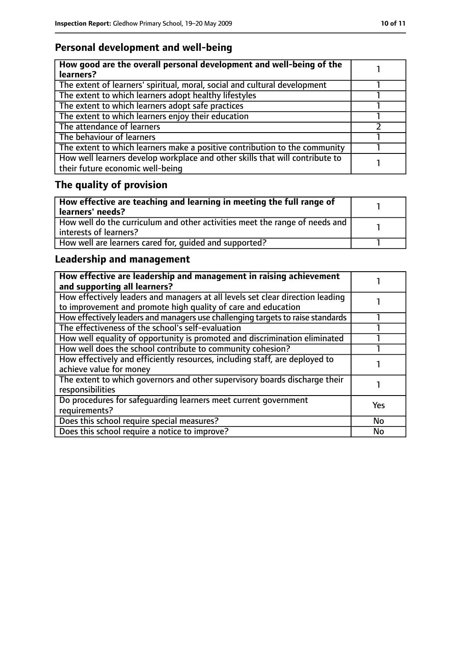# **Personal development and well-being**

| How good are the overall personal development and well-being of the<br>learners?                                 |  |
|------------------------------------------------------------------------------------------------------------------|--|
| The extent of learners' spiritual, moral, social and cultural development                                        |  |
| The extent to which learners adopt healthy lifestyles                                                            |  |
| The extent to which learners adopt safe practices                                                                |  |
| The extent to which learners enjoy their education                                                               |  |
| The attendance of learners                                                                                       |  |
| The behaviour of learners                                                                                        |  |
| The extent to which learners make a positive contribution to the community                                       |  |
| How well learners develop workplace and other skills that will contribute to<br>their future economic well-being |  |

# **The quality of provision**

| How effective are teaching and learning in meeting the full range of<br>learners' needs?              |  |
|-------------------------------------------------------------------------------------------------------|--|
| How well do the curriculum and other activities meet the range of needs and<br>interests of learners? |  |
| How well are learners cared for, quided and supported?                                                |  |

# **Leadership and management**

| How effective are leadership and management in raising achievement<br>and supporting all learners?                                              |            |
|-------------------------------------------------------------------------------------------------------------------------------------------------|------------|
| How effectively leaders and managers at all levels set clear direction leading<br>to improvement and promote high quality of care and education |            |
| How effectively leaders and managers use challenging targets to raise standards                                                                 |            |
| The effectiveness of the school's self-evaluation                                                                                               |            |
| How well equality of opportunity is promoted and discrimination eliminated                                                                      |            |
| How well does the school contribute to community cohesion?                                                                                      |            |
| How effectively and efficiently resources, including staff, are deployed to<br>achieve value for money                                          |            |
| The extent to which governors and other supervisory boards discharge their<br>responsibilities                                                  |            |
| Do procedures for safequarding learners meet current government<br>requirements?                                                                | <b>Yes</b> |
| Does this school require special measures?                                                                                                      | <b>No</b>  |
| Does this school require a notice to improve?                                                                                                   | No         |